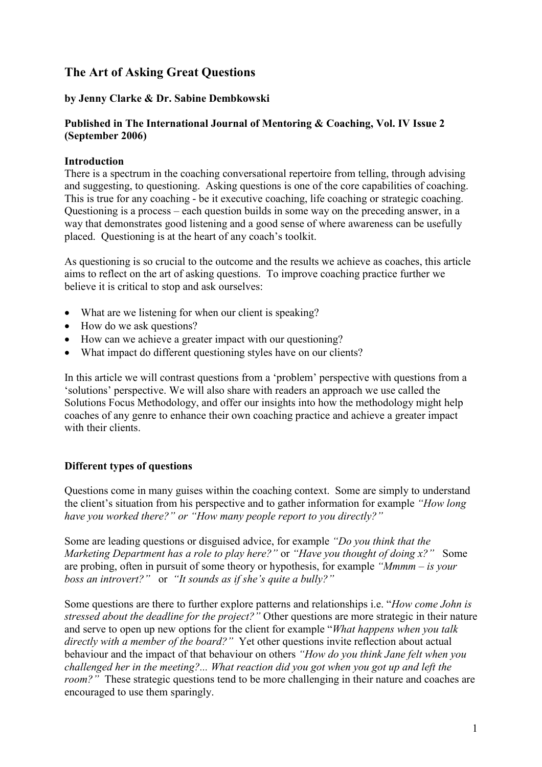# The Art of Asking Great Questions

# by Jenny Clarke & Dr. Sabine Dembkowski

# Published in The International Journal of Mentoring & Coaching, Vol. IV Issue 2 (September 2006)

# Introduction

There is a spectrum in the coaching conversational repertoire from telling, through advising and suggesting, to questioning. Asking questions is one of the core capabilities of coaching. This is true for any coaching - be it executive coaching, life coaching or strategic coaching. Questioning is a process – each question builds in some way on the preceding answer, in a way that demonstrates good listening and a good sense of where awareness can be usefully placed. Questioning is at the heart of any coach's toolkit.

As questioning is so crucial to the outcome and the results we achieve as coaches, this article aims to reflect on the art of asking questions. To improve coaching practice further we believe it is critical to stop and ask ourselves:

- What are we listening for when our client is speaking?
- How do we ask questions?
- How can we achieve a greater impact with our questioning?
- What impact do different questioning styles have on our clients?

In this article we will contrast questions from a 'problem' perspective with questions from a 'solutions' perspective. We will also share with readers an approach we use called the Solutions Focus Methodology, and offer our insights into how the methodology might help coaches of any genre to enhance their own coaching practice and achieve a greater impact with their clients.

# Different types of questions

Questions come in many guises within the coaching context. Some are simply to understand the client's situation from his perspective and to gather information for example "How long have you worked there?" or "How many people report to you directly?"

Some are leading questions or disguised advice, for example "Do you think that the Marketing Department has a role to play here?" or "Have you thought of doing x?" Some are probing, often in pursuit of some theory or hypothesis, for example "Mmmm – is your boss an introvert?" or "It sounds as if she's quite a bully?"

Some questions are there to further explore patterns and relationships i.e. "How come John is stressed about the deadline for the project?" Other questions are more strategic in their nature and serve to open up new options for the client for example "What happens when you talk directly with a member of the board?" Yet other questions invite reflection about actual behaviour and the impact of that behaviour on others "How do you think Jane felt when you challenged her in the meeting?... What reaction did you got when you got up and left the room?" These strategic questions tend to be more challenging in their nature and coaches are encouraged to use them sparingly.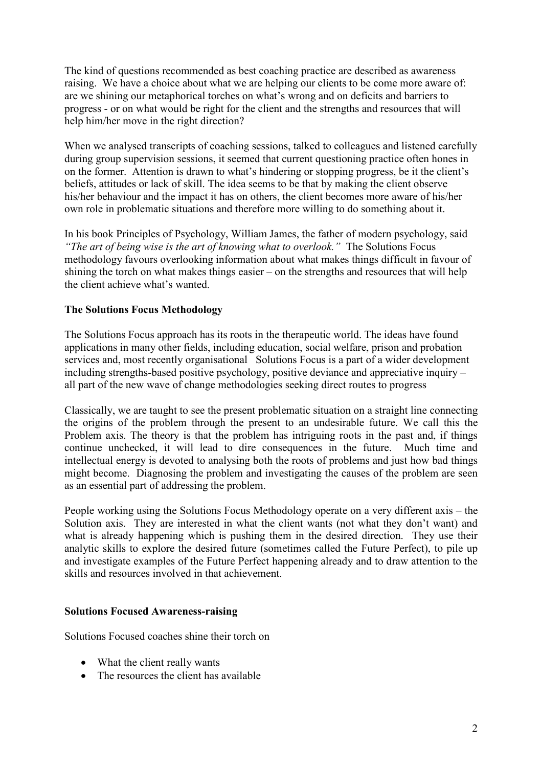The kind of questions recommended as best coaching practice are described as awareness raising. We have a choice about what we are helping our clients to be come more aware of: are we shining our metaphorical torches on what's wrong and on deficits and barriers to progress - or on what would be right for the client and the strengths and resources that will help him/her move in the right direction?

When we analysed transcripts of coaching sessions, talked to colleagues and listened carefully during group supervision sessions, it seemed that current questioning practice often hones in on the former. Attention is drawn to what's hindering or stopping progress, be it the client's beliefs, attitudes or lack of skill. The idea seems to be that by making the client observe his/her behaviour and the impact it has on others, the client becomes more aware of his/her own role in problematic situations and therefore more willing to do something about it.

In his book Principles of Psychology, William James, the father of modern psychology, said "The art of being wise is the art of knowing what to overlook." The Solutions Focus methodology favours overlooking information about what makes things difficult in favour of shining the torch on what makes things easier – on the strengths and resources that will help the client achieve what's wanted.

# The Solutions Focus Methodology

The Solutions Focus approach has its roots in the therapeutic world. The ideas have found applications in many other fields, including education, social welfare, prison and probation services and, most recently organisational Solutions Focus is a part of a wider development including strengths-based positive psychology, positive deviance and appreciative inquiry – all part of the new wave of change methodologies seeking direct routes to progress

Classically, we are taught to see the present problematic situation on a straight line connecting the origins of the problem through the present to an undesirable future. We call this the Problem axis. The theory is that the problem has intriguing roots in the past and, if things continue unchecked, it will lead to dire consequences in the future. Much time and intellectual energy is devoted to analysing both the roots of problems and just how bad things might become. Diagnosing the problem and investigating the causes of the problem are seen as an essential part of addressing the problem.

People working using the Solutions Focus Methodology operate on a very different axis – the Solution axis. They are interested in what the client wants (not what they don't want) and what is already happening which is pushing them in the desired direction. They use their analytic skills to explore the desired future (sometimes called the Future Perfect), to pile up and investigate examples of the Future Perfect happening already and to draw attention to the skills and resources involved in that achievement.

### Solutions Focused Awareness-raising

Solutions Focused coaches shine their torch on

- What the client really wants
- The resources the client has available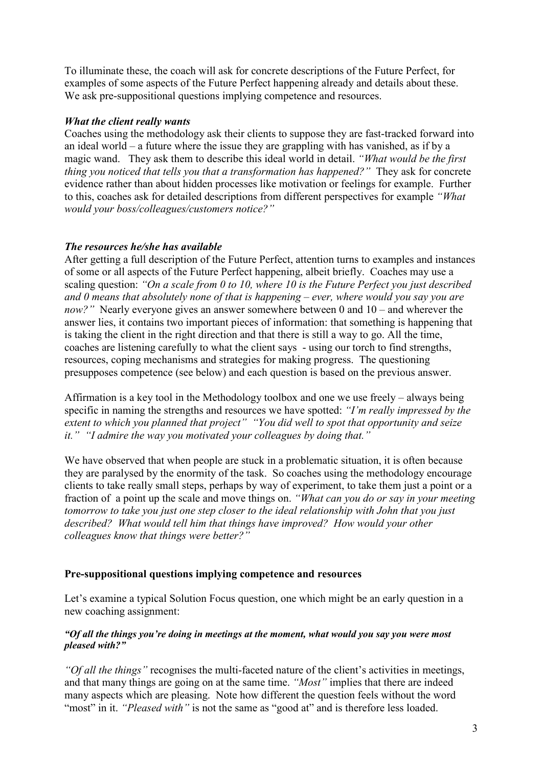To illuminate these, the coach will ask for concrete descriptions of the Future Perfect, for examples of some aspects of the Future Perfect happening already and details about these. We ask pre-suppositional questions implying competence and resources.

### What the client really wants

Coaches using the methodology ask their clients to suppose they are fast-tracked forward into an ideal world – a future where the issue they are grappling with has vanished, as if by a magic wand. They ask them to describe this ideal world in detail. "What would be the first thing you noticed that tells you that a transformation has happened?" They ask for concrete evidence rather than about hidden processes like motivation or feelings for example. Further to this, coaches ask for detailed descriptions from different perspectives for example "What would your boss/colleagues/customers notice?"

#### The resources he/she has available

After getting a full description of the Future Perfect, attention turns to examples and instances of some or all aspects of the Future Perfect happening, albeit briefly. Coaches may use a scaling question: "On a scale from 0 to 10, where 10 is the Future Perfect you just described and  $\theta$  means that absolutely none of that is happening – ever, where would you say you are now?" Nearly everyone gives an answer somewhere between 0 and 10 – and wherever the answer lies, it contains two important pieces of information: that something is happening that is taking the client in the right direction and that there is still a way to go. All the time, coaches are listening carefully to what the client says - using our torch to find strengths, resources, coping mechanisms and strategies for making progress. The questioning presupposes competence (see below) and each question is based on the previous answer.

Affirmation is a key tool in the Methodology toolbox and one we use freely – always being specific in naming the strengths and resources we have spotted: "I'm really impressed by the extent to which you planned that project" "You did well to spot that opportunity and seize it." "I admire the way you motivated your colleagues by doing that."

We have observed that when people are stuck in a problematic situation, it is often because they are paralysed by the enormity of the task. So coaches using the methodology encourage clients to take really small steps, perhaps by way of experiment, to take them just a point or a fraction of a point up the scale and move things on. "What can you do or say in your meeting tomorrow to take you just one step closer to the ideal relationship with John that you just described? What would tell him that things have improved? How would your other colleagues know that things were better?"

#### Pre-suppositional questions implying competence and resources

Let's examine a typical Solution Focus question, one which might be an early question in a new coaching assignment:

#### "Of all the things you're doing in meetings at the moment, what would you say you were most pleased with?"

"Of all the things" recognises the multi-faceted nature of the client's activities in meetings, and that many things are going on at the same time. "Most" implies that there are indeed many aspects which are pleasing. Note how different the question feels without the word "most" in it. "*Pleased with*" is not the same as "good at" and is therefore less loaded.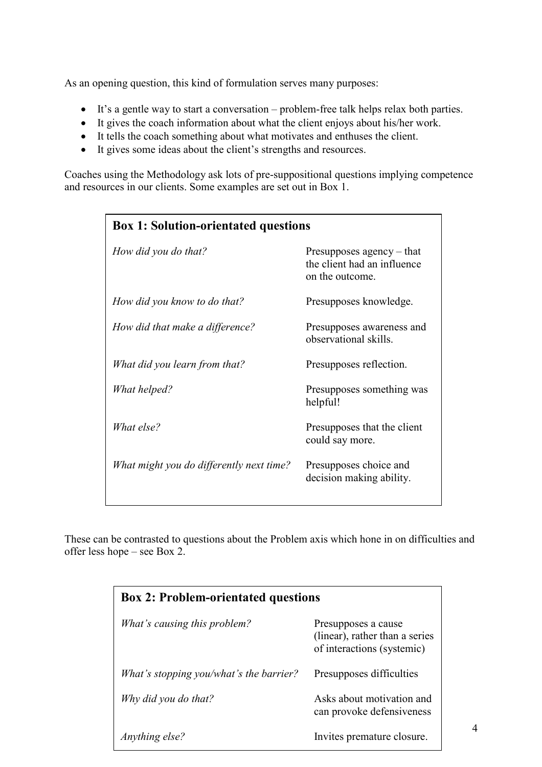As an opening question, this kind of formulation serves many purposes:

- It's a gentle way to start a conversation problem-free talk helps relax both parties.
- It gives the coach information about what the client enjoys about his/her work.
- It tells the coach something about what motivates and enthuses the client.
- It gives some ideas about the client's strengths and resources.

Coaches using the Methodology ask lots of pre-suppositional questions implying competence and resources in our clients. Some examples are set out in Box 1.

| <b>Box 1: Solution-orientated questions</b> |                                                                               |
|---------------------------------------------|-------------------------------------------------------------------------------|
| How did you do that?                        | Presupposes agency $-$ that<br>the client had an influence<br>on the outcome. |
| How did you know to do that?                | Presupposes knowledge.                                                        |
| How did that make a difference?             | Presupposes awareness and<br>observational skills.                            |
| What did you learn from that?               | Presupposes reflection.                                                       |
| What helped?                                | Presupposes something was<br>helpful!                                         |
| What else?                                  | Presupposes that the client<br>could say more.                                |
| What might you do differently next time?    | Presupposes choice and<br>decision making ability.                            |

These can be contrasted to questions about the Problem axis which hone in on difficulties and offer less hope – see Box 2.

| <b>Box 2: Problem-orientated questions</b> |                                                                                     |
|--------------------------------------------|-------------------------------------------------------------------------------------|
| What's causing this problem?               | Presupposes a cause<br>(linear), rather than a series<br>of interactions (systemic) |
| What's stopping you/what's the barrier?    | Presupposes difficulties                                                            |
| Why did you do that?                       | Asks about motivation and<br>can provoke defensiveness                              |
| Anything else?                             | Invites premature closure.                                                          |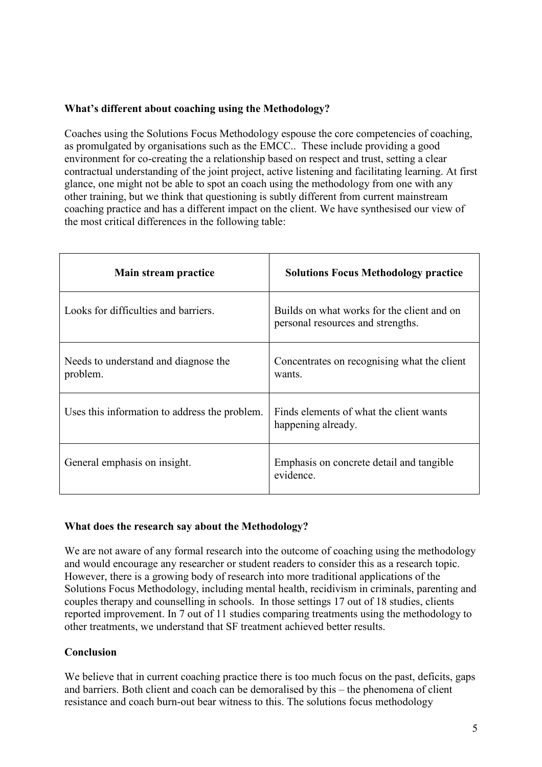# What's different about coaching using the Methodology?

Coaches using the Solutions Focus Methodology espouse the core competencies of coaching, as promulgated by organisations such as the EMCC.. These include providing a good environment for co-creating the a relationship based on respect and trust, setting a clear contractual understanding of the joint project, active listening and facilitating learning. At first glance, one might not be able to spot an coach using the methodology from one with any other training, but we think that questioning is subtly different from current mainstream coaching practice and has a different impact on the client. We have synthesised our view of the most critical differences in the following table:

| Main stream practice                             | <b>Solutions Focus Methodology practice</b>                                     |
|--------------------------------------------------|---------------------------------------------------------------------------------|
| Looks for difficulties and barriers.             | Builds on what works for the client and on<br>personal resources and strengths. |
| Needs to understand and diagnose the<br>problem. | Concentrates on recognising what the client<br>wants.                           |
| Uses this information to address the problem.    | Finds elements of what the client wants<br>happening already.                   |
| General emphasis on insight.                     | Emphasis on concrete detail and tangible<br>evidence.                           |

### What does the research say about the Methodology?

We are not aware of any formal research into the outcome of coaching using the methodology and would encourage any researcher or student readers to consider this as a research topic. However, there is a growing body of research into more traditional applications of the Solutions Focus Methodology, including mental health, recidivism in criminals, parenting and couples therapy and counselling in schools. In those settings 17 out of 18 studies, clients reported improvement. In 7 out of 11 studies comparing treatments using the methodology to other treatments, we understand that SF treatment achieved better results.

# **Conclusion**

We believe that in current coaching practice there is too much focus on the past, deficits, gaps and barriers. Both client and coach can be demoralised by this – the phenomena of client resistance and coach burn-out bear witness to this. The solutions focus methodology